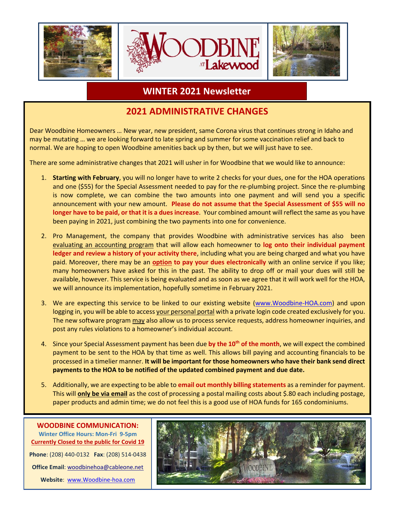

### **WINTER 2021 Newsletter**

### **2021 ADMINISTRATIVE CHANGES**

Dear Woodbine Homeowners … New year, new president, same Corona virus that continues strong in Idaho and may be mutating … we are looking forward to late spring and summer for some vaccination relief and back to normal. We are hoping to open Woodbine amenities back up by then, but we will just have to see.

There are some administrative changes that 2021 will usher in for Woodbine that we would like to announce:

- 1. **Starting with February**, you will no longer have to write 2 checks for your dues, one for the HOA operations and one (\$55) for the Special Assessment needed to pay for the re-plumbing project. Since the re-plumbing is now complete, we can combine the two amounts into one payment and will send you a specific announcement with your new amount. **Please do not assume that the Special Assessment of \$55 will no longer have to be paid, or that it is a dues increase**. Your combined amount will reflect the same as you have been paying in 2021, just combining the two payments into one for convenience.
- 2. Pro Management, the company that provides Woodbine with administrative services has also been evaluating an accounting program that will allow each homeowner to **log onto their individual payment ledger and review a history of your activity there**, including what you are being charged and what you have paid. Moreover, there may be an **option to pay your dues electronically** with an online service if you like; many homeowners have asked for this in the past. The ability to drop off or mail your dues will still be available, however. This service is being evaluated and as soon as we agree that it will work well for the HOA, we will announce its implementation, hopefully sometime in February 2021.
- 3. We are expecting this service to be linked to our existing website [\(www.Woodbine-HOA.com\)](http://www.woodbine-hoa.com/) and upon logging in, you will be able to access your personal portal with a private login code created exclusively for you. The new software program may also allow us to process service requests, address homeowner inquiries, and post any rules violations to a homeowner's individual account.
- 4. Since your Special Assessment payment has been due **by the 10th of the month**, we will expect the combined payment to be sent to the HOA by that time as well. This allows bill paying and accounting financials to be processed in a timelier manner. **It will be important for those homeowners who have their bank send direct payments to the HOA to be notified of the updated combined payment and due date.**
- 5. Additionally, we are expecting to be able to **email out monthly billing statements** as a reminder for payment. This will **only be via email** as the cost of processing a postal mailing costs about \$.80 each including postage, paper products and admin time; we do not feel this is a good use of HOA funds for 165 condominiums.



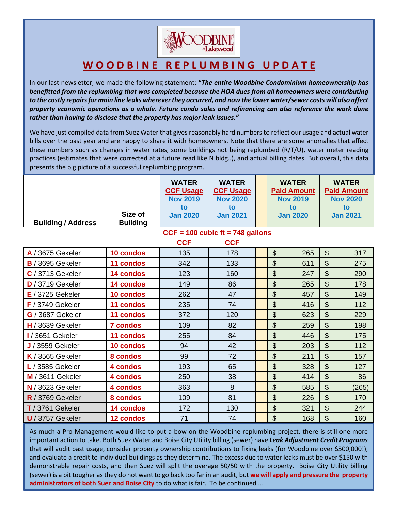

## **W O O D B I N E R E P L U M B I N G U P D A T E**

In our last newsletter, we made the following statement: **"***The entire Woodbine Condominium homeownership has benefitted from the replumbing that was completed because the HOA dues from all homeowners were contributing to the costly repairs for main line leaks wherever they occurred, and now the lower water/sewer costs will also affect property economic operations as a whole. Future condo sales and refinancing can also reference the work done rather than having to disclose that the property has major leak issues."*

bills over the past year and are happy to share it with homeowners. Note that there are some anomalies that affect We have just compiled data from Suez Water that gives reasonably hard numbers to reflect our usage and actual water these numbers such as changes in water rates, some buildings not being replumbed (R/T/U), water meter reading practices (estimates that were corrected at a future read like N bldg..), and actual billing dates. But overall, this data presents the big picture of a successful replumbing program.

|                           |                            | <b>WATER</b><br><b>CCF Usage</b><br><b>Nov 2019</b><br>to | <b>WATER</b><br><b>CCF Usage</b><br><b>Nov 2020</b><br>to | <b>WATER</b><br><b>Paid Amount</b><br><b>Nov 2019</b><br>to | <b>WATER</b><br><b>Paid Amount</b><br><b>Nov 2020</b><br>to |
|---------------------------|----------------------------|-----------------------------------------------------------|-----------------------------------------------------------|-------------------------------------------------------------|-------------------------------------------------------------|
| <b>Building / Address</b> | Size of<br><b>Building</b> | <b>Jan 2020</b>                                           | <b>Jan 2021</b>                                           | <b>Jan 2020</b>                                             | <b>Jan 2021</b>                                             |

#### **CCF = 100 cubic ft = 748 gallons**

|                         |                  | <b>CCF</b> | <b>CCF</b> |                |     |                           |       |
|-------------------------|------------------|------------|------------|----------------|-----|---------------------------|-------|
| A / 3675 Gekeler        | 10 condos        | 135        | 178        | \$             | 265 | $\boldsymbol{\mathsf{S}}$ | 317   |
| <b>B</b> / 3695 Gekeler | 11 condos        | 342        | 133        | \$             | 611 | \$                        | 275   |
| $C/3713$ Gekeler        | 14 condos        | 123        | 160        | \$             | 247 | \$                        | 290   |
| D / 3719 Gekeler        | 14 condos        | 149        | 86         | \$             | 265 | \$                        | 178   |
| $E/3725$ Gekeler        | 10 condos        | 262        | 47         | \$             | 457 | \$                        | 149   |
| $F/3749$ Gekeler        | 11 condos        | 235        | 74         | \$             | 416 | \$                        | 112   |
| G / 3687 Gekeler        | 11 condos        | 372        | 120        | \$             | 623 | \$                        | 229   |
| $H/3639$ Gekeler        | <b>7 condos</b>  | 109        | 82         | \$             | 259 | \$                        | 198   |
| I / 3651 Gekeler        | 11 condos        | 255        | 84         | $\mathfrak{L}$ | 446 | $\mathfrak{L}$            | 175   |
| $J/3559$ Gekeler        | 10 condos        | 94         | 42         | \$             | 203 | \$                        | 112   |
| $K/3565$ Gekeler        | 8 condos         | 99         | 72         | \$             | 211 | \$                        | 157   |
| $L/3585$ Gekeler        | 4 condos         | 193        | 65         | \$             | 328 | \$                        | 127   |
| M / 3611 Gekeler        | 4 condos         | 250        | 38         | \$             | 414 | \$                        | 86    |
| $N/3623$ Gekeler        | 4 condos         | 363        | 8          | \$             | 585 | \$                        | (265) |
| $R/3769$ Gekeler        | 8 condos         | 109        | 81         | \$             | 226 | \$                        | 170   |
| $T/3761$ Gekeler        | 14 condos        | 172        | 130        | \$             | 321 | \$                        | 244   |
| $U/3757$ Gekeler        | <b>12 condos</b> | 71         | 74         | \$             | 168 | \$                        | 160   |

As much a Pro Management would like to put a bow on the Woodbine replumbing project, there is still one more important action to take. Both Suez Water and Boise City Utility billing (sewer) have *Leak Adjustment Credit Programs* that will audit past usage, consider property ownership contributions to fixing leaks (for Woodbine over \$500,000!), and evaluate a credit to individual buildings as they determine. The excess due to water leaks must be over \$150 with demonstrable repair costs, and then Suez will split the overage 50/50 with the property. Boise City Utility billing (sewer) is a bit tougher as they do not want to go back too far in an audit, but **we will apply and pressure the property administrators of both Suez and Boise City** to do what is fair. To be continued ….